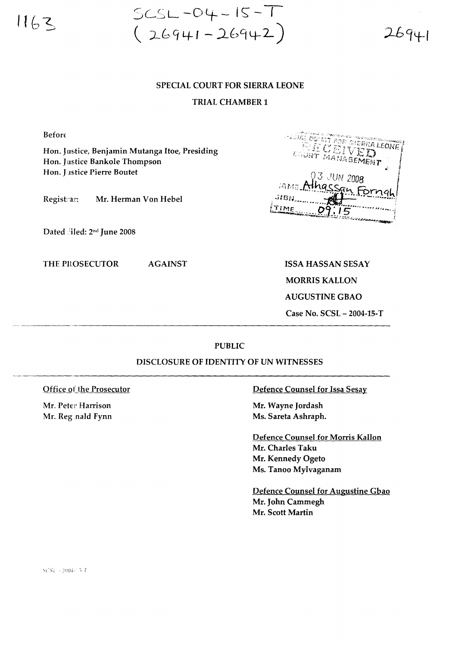$1163$ 

 $SCSL - O4 - IS - T$ <br>(26941-26942)

 $26941$ 

## **SPECIAL COURT FOR SIERRA LEONE**

## **TRIAL CHAMBER 1**

**Before** 

Hon. Justice, Benjamin Mutanga Itoe, Presiding Hon. Justice Bankole Thompson Hon. Justice Pierre Boutet

**AGAINST** 

Registrar: Mr. Herman Von Hebel

Dated filed: 2nd June 2008

THE PROSECUTOR

FRIDGE THE DIERRA LEONE COUNT MANAGEMENT 3 JUN 2008 **IAMD** 31GN TIME 15

**ISSA HASSAN SESAY** 

**MORRIS KALLON** 

**AUGUSTINE GBAO** 

Case No. SCSL - 2004-15-T

## **PUBLIC**

## DISCLOSURE OF IDENTITY OF UN WITNESSES

Office of the Prosecutor

Mr. Peter Harrison Mr. Reganald Fynn Defence Counsel for Issa Sesay

Mr. Wayne Jordash Ms. Sareta Ashraph.

Defence Counsel for Morris Kallon Mr. Charles Taku Mr. Kennedy Ogeto Ms. Tanoo Mylvaganam

Defence Counsel for Augustine Gbao Mr. John Cammegh Mr. Scott Martin